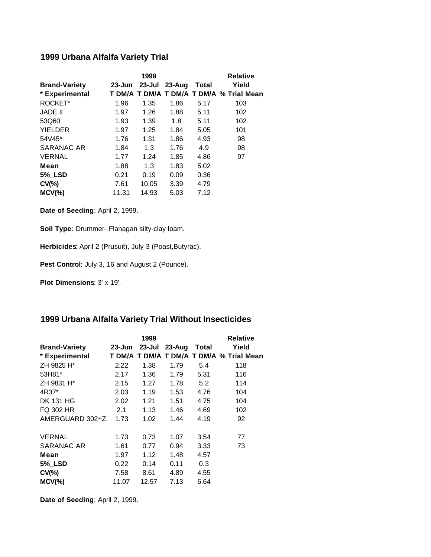## **1999 Urbana Alfalfa Variety Trial**

|                      |            | 1999   |            |       | <b>Relative</b>                          |
|----------------------|------------|--------|------------|-------|------------------------------------------|
| <b>Brand-Variety</b> | $23 - Jun$ | 23-Jul | $23 - Aug$ | Total | Yield                                    |
| * Experimental       |            |        |            |       | T DM/A T DM/A T DM/A T DM/A % Trial Mean |
| ROCKET*              | 1.96       | 1.35   | 1.86       | 5.17  | 103                                      |
| <b>JADE II</b>       | 1.97       | 1.26   | 1.88       | 5.11  | 102                                      |
| 53Q60                | 1.93       | 1.39   | 1.8        | 5.11  | 102                                      |
| <b>YIELDER</b>       | 1.97       | 1.25   | 1.84       | 5.05  | 101                                      |
| 54V45*               | 1.76       | 1.31   | 1.86       | 4.93  | 98                                       |
| <b>SARANAC AR</b>    | 1.84       | 1.3    | 1.76       | 4.9   | 98                                       |
| <b>VERNAL</b>        | 1.77       | 1.24   | 1.85       | 4.86  | 97                                       |
| Mean                 | 1.88       | 1.3    | 1.83       | 5.02  |                                          |
| <b>5%_LSD</b>        | 0.21       | 0.19   | 0.09       | 0.36  |                                          |
| $CV(\% )$            | 7.61       | 10.05  | 3.39       | 4.79  |                                          |
| $MCV(\%)$            | 11.31      | 14.93  | 5.03       | 7.12  |                                          |

**Date of Seeding**: April 2, 1999.

**Soil Type**: Drummer- Flanagan silty-clay loam.

**Herbicides**: April 2 (Prusuit), July 3 (Poast,Butyrac).

Pest Control: July 3, 16 and August 2 (Pounce).

**Plot Dimensions**: 3' x 19'.

## **1999 Urbana Alfalfa Variety Trial Without Insecticides**

|                        |               | 1999  |        |       | <b>Relative</b>                          |
|------------------------|---------------|-------|--------|-------|------------------------------------------|
| <b>Brand-Variety</b>   | 23-Jun 23-Jul |       | 23-Aug | Total | Yield                                    |
| * Experimental         |               |       |        |       | T DM/A T DM/A T DM/A T DM/A % Trial Mean |
| ZH 9825 H <sup>*</sup> | 2.22          | 1.38  | 1.79   | 5.4   | 118                                      |
| 53H81*                 | 2.17          | 1.36  | 1.79   | 5.31  | 116                                      |
| ZH 9831 H*             | 2.15          | 1.27  | 1.78   | 5.2   | 114                                      |
| 4R37*                  | 2.03          | 1.19  | 1.53   | 4.76  | 104                                      |
| <b>DK 131 HG</b>       | 2.02          | 1.21  | 1.51   | 4.75  | 104                                      |
| <b>FQ 302 HR</b>       | 2.1           | 1.13  | 1.46   | 4.69  | 102                                      |
| AMERGUARD 302+Z        | 1.73          | 1.02  | 1.44   | 4.19  | 92                                       |
| <b>VERNAL</b>          | 1.73          | 0.73  | 1.07   | 3.54  | 77                                       |
| SARANAC AR             | 1.61          | 0.77  | 0.94   | 3.33  | 73                                       |
| Mean                   | 1.97          | 1.12  | 1.48   | 4.57  |                                          |
| <b>5%_LSD</b>          | 0.22          | 0.14  | 0.11   | 0.3   |                                          |
| $CV(\% )$              | 7.58          | 8.61  | 4.89   | 4.55  |                                          |
| $MCV(\%)$              | 11.07         | 12.57 | 7.13   | 6.64  |                                          |

**Date of Seeding**: April 2, 1999.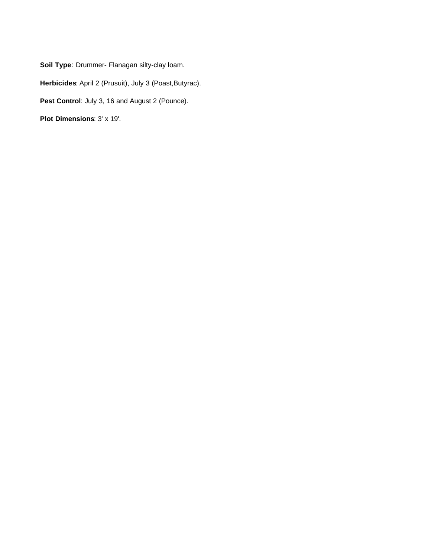**Soil Type**: Drummer- Flanagan silty-clay loam.

**Herbicides**: April 2 (Prusuit), July 3 (Poast,Butyrac).

Pest Control: July 3, 16 and August 2 (Pounce).

**Plot Dimensions**: 3' x 19'.